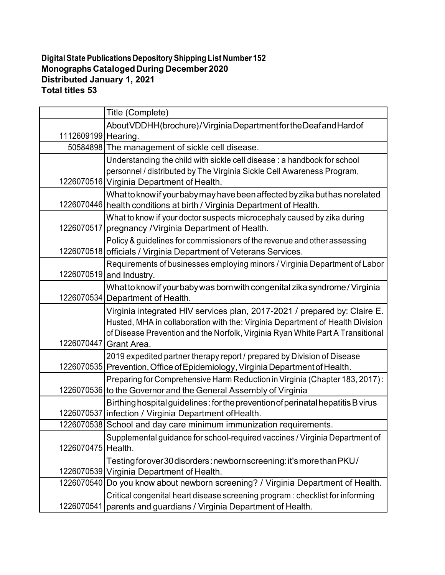## **Digital State Publications Depository Shipping List Number 152 Monographs CatalogedDuring December 2020 Distributed January 1, 2021 Total titles 53**

|                     | Title (Complete)                                                                                                                                                                                                                                            |
|---------------------|-------------------------------------------------------------------------------------------------------------------------------------------------------------------------------------------------------------------------------------------------------------|
| 1112609199 Hearing. | About VDDHH (brochure)/Virginia Department for the Deaf and Hard of                                                                                                                                                                                         |
|                     | 50584898 The management of sickle cell disease.                                                                                                                                                                                                             |
|                     | Understanding the child with sickle cell disease: a handbook for school<br>personnel / distributed by The Virginia Sickle Cell Awareness Program,<br>1226070516 Virginia Department of Health.                                                              |
|                     | What to know if your baby may have been affected by zika but has no related<br>1226070446 health conditions at birth / Virginia Department of Health.                                                                                                       |
|                     | What to know if your doctor suspects microcephaly caused by zika during<br>1226070517 pregnancy / Virginia Department of Health.                                                                                                                            |
|                     | Policy & guidelines for commissioners of the revenue and other assessing<br>1226070518 officials / Virginia Department of Veterans Services.                                                                                                                |
|                     | Requirements of businesses employing minors / Virginia Department of Labor<br>1226070519 and Industry.                                                                                                                                                      |
|                     | What to know if your baby was born with congenital zika syndrome / Virginia<br>1226070534 Department of Health.                                                                                                                                             |
| 1226070447          | Virginia integrated HIV services plan, 2017-2021 / prepared by: Claire E.<br>Husted, MHA in collaboration with the: Virginia Department of Health Division<br>of Disease Prevention and the Norfolk, Virginia Ryan White Part A Transitional<br>Grant Area. |
|                     | 2019 expedited partner therapy report / prepared by Division of Disease<br>1226070535 Prevention, Office of Epidemiology, Virginia Department of Health.                                                                                                    |
|                     | Preparing for Comprehensive Harm Reduction in Virginia (Chapter 183, 2017):<br>1226070536 to the Governor and the General Assembly of Virginia                                                                                                              |
|                     | Birthing hospital guidelines: for the prevention of perinatal hepatitis B virus<br>1226070537 infection / Virginia Department of Health.                                                                                                                    |
|                     | 1226070538 School and day care minimum immunization requirements.                                                                                                                                                                                           |
| 1226070475          | Supplemental guidance for school-required vaccines / Virginia Department of<br>Health.                                                                                                                                                                      |
|                     | Testing for over 30 disorders: newborn screening: it's more than PKU/<br>1226070539 Virginia Department of Health.                                                                                                                                          |
| 1226070540          | Do you know about newborn screening? / Virginia Department of Health.                                                                                                                                                                                       |
| 1226070541          | Critical congenital heart disease screening program : checklist for informing<br>parents and guardians / Virginia Department of Health.                                                                                                                     |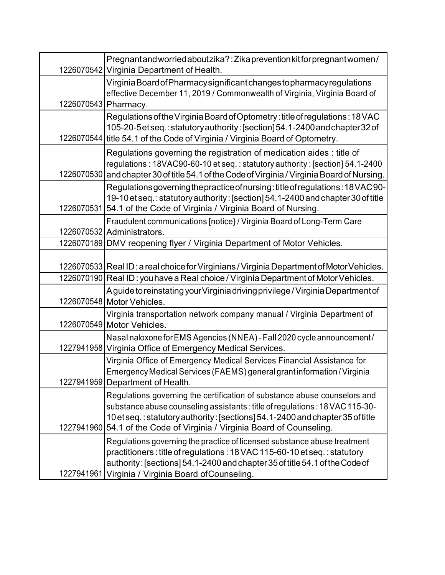|                      | Pregnant and worried about zika?: Zika prevention kit for pregnant women/<br>1226070542 Virginia Department of Health.                                                                                                                                                                                               |
|----------------------|----------------------------------------------------------------------------------------------------------------------------------------------------------------------------------------------------------------------------------------------------------------------------------------------------------------------|
| 1226070543 Pharmacy. | Virginia Board of Pharmacy significant changes to pharmacy regulations<br>effective December 11, 2019 / Commonwealth of Virginia, Virginia Board of                                                                                                                                                                  |
|                      | Regulations of the Virginia Board of Optometry: title of regulations: 18 VAC<br>105-20-5etseq.:statutoryauthority: [section] 54.1-2400 and chapter 32 of<br>1226070544 title 54.1 of the Code of Virginia / Virginia Board of Optometry.                                                                             |
| 1226070530           | Regulations governing the registration of medication aides : title of<br>regulations: 18VAC90-60-10 et seq.: statutory authority: [section] 54.1-2400<br>and chapter 30 of title 54.1 of the Code of Virginia / Virginia Board of Nursing.                                                                           |
|                      | Regulations governing the practice of nursing: title of regulations: 18 VAC 90-<br>19-10 et seq.: statutory authority: [section] 54.1-2400 and chapter 30 of title<br>1226070531 54.1 of the Code of Virginia / Virginia Board of Nursing.                                                                           |
|                      | Fraudulent communications [notice} / Virginia Board of Long-Term Care<br>1226070532 Administrators.                                                                                                                                                                                                                  |
|                      | 1226070189 DMV reopening flyer / Virginia Department of Motor Vehicles.                                                                                                                                                                                                                                              |
|                      | 1226070533 Real ID: a real choice for Virginians / Virginia Department of Motor Vehicles.<br>1226070190 Real ID: you have a Real choice / Virginia Department of Motor Vehicles.                                                                                                                                     |
|                      | A guide to reinstating your Virginia driving privilege / Virginia Department of<br>1226070548 Motor Vehicles.                                                                                                                                                                                                        |
|                      | Virginia transportation network company manual / Virginia Department of<br>1226070549 Motor Vehicles.                                                                                                                                                                                                                |
|                      | Nasal naloxone for EMS Agencies (NNEA) - Fall 2020 cycle announcement/<br>1227941958 Virginia Office of Emergency Medical Services.                                                                                                                                                                                  |
|                      | Virginia Office of Emergency Medical Services Financial Assistance for<br>Emergency Medical Services (FAEMS) general grant information / Virginia<br>1227941959 Department of Health.                                                                                                                                |
|                      | Regulations governing the certification of substance abuse counselors and<br>substance abuse counseling assistants: title of regulations: 18 VAC 115-30-<br>10 et seq.: statutory authority: [sections] 54.1-2400 and chapter 35 of title<br>1227941960 54.1 of the Code of Virginia / Virginia Board of Counseling. |
| 1227941961           | Regulations governing the practice of licensed substance abuse treatment<br>practitioners: title of regulations: 18 VAC 115-60-10 et seq.: statutory<br>authority: [sections] 54.1-2400 and chapter 35 of title 54.1 of the Code of<br>Virginia / Virginia Board of Counseling.                                      |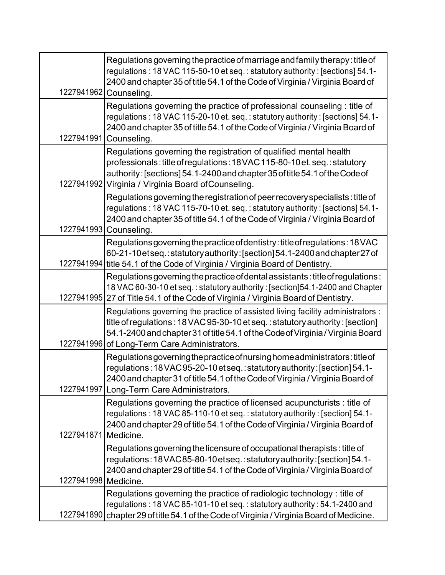| 1227941962           | Regulations governing the practice of marriage and family therapy: title of<br>regulations: 18 VAC 115-50-10 et seq.: statutory authority: [sections] 54.1-<br>2400 and chapter 35 of title 54.1 of the Code of Virginia / Virginia Board of<br>Counseling.                              |
|----------------------|------------------------------------------------------------------------------------------------------------------------------------------------------------------------------------------------------------------------------------------------------------------------------------------|
| 1227941991           | Regulations governing the practice of professional counseling : title of<br>regulations: 18 VAC 115-20-10 et. seq.: statutory authority: [sections] 54.1-<br>2400 and chapter 35 of title 54.1 of the Code of Virginia / Virginia Board of<br>Counseling.                                |
| 1227941992           | Regulations governing the registration of qualified mental health<br>professionals: title of regulations: 18 VAC 115-80-10 et. seq.: statutory<br>authority: [sections] 54.1-2400 and chapter 35 of title 54.1 of the Code of<br>Virginia / Virginia Board of Counseling.                |
|                      | Regulations governing the registration of peer recovery specialists: title of<br>regulations: 18 VAC 115-70-10 et. seq.: statutory authority: [sections] 54.1-<br>2400 and chapter 35 of title 54.1 of the Code of Virginia / Virginia Board of<br>1227941993 Counseling.                |
| 1227941994           | Regulations governing the practice of dentistry: title of regulations: 18 VAC<br>60-21-10 et seq.: statutory authority: [section] 54.1-2400 and chapter 27 of<br>title 54.1 of the Code of Virginia / Virginia Board of Dentistry.                                                       |
| 1227941995           | Regulations governing the practice of dental assistants: title of regulations:<br>18 VAC 60-30-10 et seq.: statutory authority: [section]54.1-2400 and Chapter<br>27 of Title 54.1 of the Code of Virginia / Virginia Board of Dentistry.                                                |
| 1227941996           | Regulations governing the practice of assisted living facility administrators :<br>title of regulations: 18 VAC 95-30-10 et seq.: statutory authority: [section]<br>54.1-2400 and chapter 31 of title 54.1 of the Code of Virginia / Virginia Board<br>of Long-Term Care Administrators. |
| 1227941997           | Regulations governing the practice of nursing home administrators: title of<br>regulations:18VAC95-20-10etseq.:statutory authority: [section] 54.1-<br>2400 and chapter 31 of title 54.1 of the Code of Virginia / Virginia Board of<br>Long-Term Care Administrators.                   |
| 1227941871 Medicine. | Regulations governing the practice of licensed acupuncturists : title of<br>regulations: 18 VAC 85-110-10 et seq.: statutory authority: [section] 54.1-<br>2400 and chapter 29 of title 54.1 of the Code of Virginia / Virginia Board of                                                 |
| 1227941998 Medicine. | Regulations governing the licensure of occupational therapists: title of<br>regulations:18VAC85-80-10etseq.:statutoryauthority: [section] 54.1-<br>2400 and chapter 29 of title 54.1 of the Code of Virginia / Virginia Board of                                                         |
| 1227941890           | Regulations governing the practice of radiologic technology : title of<br>regulations: 18 VAC 85-101-10 et seq.: statutory authority: 54.1-2400 and<br>chapter 29 of title 54.1 of the Code of Virginia / Virginia Board of Medicine.                                                    |